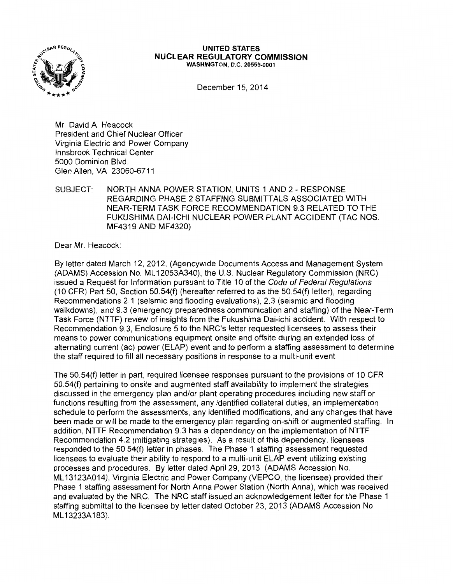

## **UNITED STATES NUCLEAR REGULATORY COMMISSION**  WASHINGTON, D.C. 20555-0001

December 15, 2014

Mr. David A. Heacock President and Chief Nuclear Officer Virginia Electric and Power Company lnnsbrook Technical Center 5000 Dominion Blvd. Glen Allen, VA 23060-6711

## SUBJECT: NORTH ANNA POWER STATION, UNITS 1 AND 2- RESPONSE REGARDING PHASE 2 STAFFING SUBMITTALS ASSOCIATED WITH NEAR-TERM TASK FORCE RECOMMENDATION 9.3 RELATED TO THE FUKUSHIMA DAI-ICHI NUCLEAR POWER PLANT ACCIDENT (TAC NOS. MF4319 AND MF4320)

Dear Mr. Heacock:

By letter dated March 12, 2012, (Agencywide Documents Access and Management System (ADAMS) Accession No. ML 12053A340), the U.S. Nuclear Regulatory Commission (NRC) issued a Request for Information pursuant to Title 10 of the Code of Federal Regulations (10 CFR) Part 50, Section 50.54(f) (hereafter referred to as the  $50.54(f)$  letter), regarding Recommendations 2.1 (seismic and flooding evaluations), 2.3 (seismic and flooding walkdowns), and 9.3 (emergency preparedness communication and staffing) of the Near-Term Task Force (NTTF) review of insights from the Fukushima Dai-ichi accident. With respect to Recommendation 9.3, Enclosure 5 to the NRC's letter requested licensees to assess their means to power communications equipment onsite and offsite during an extended loss of alternating current (ac) power (ELAP) event and to perform a staffing assessment to determine the staff required to fill all necessary positions in response to a multi-unit event

The 50.54(f) letter in part, required licensee responses pursuant to the provisions of 10 CFR 50.54(f) pertaining to onsite and augmented staff availability to implement the strategies discussed in the emergency plan and/or plant operating procedures including new staff or functions resulting from the assessment, any identified collateral duties, an implementation schedule to perform the assessments, any identified modifications, and any changes that have been made or will be made to the emergency plan regarding on-shift or augmented staffing. In addition, NTTF Recommendation 9.3 has a dependency on the implementation of NTTF Recommendation 4.2 (mitigating strategies). As a result of this dependency, licensees responded to the 50.54(f) letter in phases. The Phase 1 staffing assessment requested licensees to evaluate their ability to respond to a multi-unit ELAP event utilizing existing processes and procedures. By letter dated April 29, 2013. (ADAMS Accession No. ML 13123A014), Virginia Electric and Power Company (VEPCO, the licensee) provided their Phase 1 staffing assessment for North Anna Power Station (North Anna), which was received and evaluated by the NRC. The NRC staff issued an acknowledgement letter for the Phase 1 staffing submittal to the licensee by letter dated October 23, 2013 (ADAMS Accession No ML 13233A 183).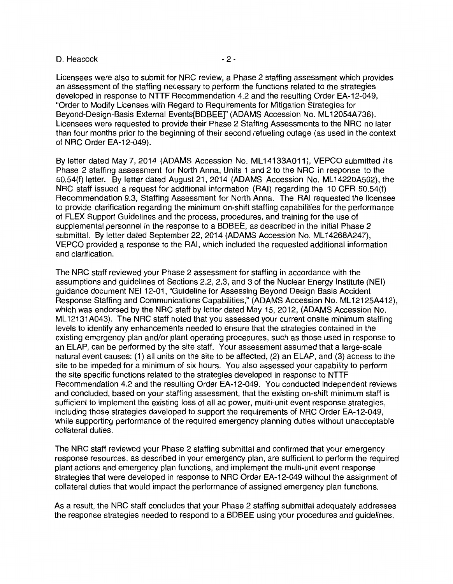## D. Heacock and the contract of the 2-

Licensees were also to submit for NRC review, a Phase 2 staffing assessment which provides an assessment of the staffing necessary to perform the functions related to the strategies developed in response to NTTF Recommendation 4.2 and the resulting Order EA-12-049, "Order to Modify Licenses with Regard to Requirements for Mitigation Strategies for Beyond-Design-Basis External Events[BDBEE]" (ADAMS Accession No. ML 12054A736). Licensees were requested to provide their Phase 2 Staffing Assessments to the NRC no later than four months prior to the beginning of their second refueling outage (as used in the context of NRC Order EA-12-049).

By letter dated May 7, 2014 (ADAMS Accession No. ML14133A011), VEPCO submitted its Phase 2 staffing assessment for North Anna, Units 1 and 2 to the NRC in response to the 50.54(f) letter. By letter dated August 21, 2014 (ADAMS Accession No. ML 14220A502), the NRC staff issued a request for additional information (RAI) regarding the 10 CFR 50.54(f) Recommendation 9.3, Staffing Assessment for North Anna. The RAI requested the licensee to provide clarification regarding the minimum on-shift staffing capabilities for the performance of FLEX Support Guidelines and the process, procedures, and training for the use of supplemental personnel in the response to a BDBEE, as described in the initial Phase 2 submittal. By letter dated September 22, 2014 (ADAMS Accession No. ML14268A247), VEPCO provided a response to the RAI, which included the requested additional information and clarification.

The NRC staff reviewed your Phase 2 assessment for staffing in accordance with the assumptions and guidelines of Sections 2.2, 2.3, and 3 of the Nuclear Energy Institute (NEI) guidance document NEI 12-01, "Guideline for Assessing Beyond Design Basis Accident Response Staffing and Communications Capabilities," (ADAMS Accession No. ML12125A412), which was endorsed by the NRC staff by letter dated May 15, 2012, (ADAMS Accession No. ML12131A043). The NRC staff noted that you assessed your current onsite minimum staffing levels to identify any enhancements needed to ensure that the strategies contained in the existing emergency plan and/or plant operating procedures, such as those used in response to an ELAP, can be performed by the site staff. Your assessment assumed that a large-scale natural event causes: (1) all units on the site to be affected, (2) an ELAP, and (3) access to the site to be impeded for a minimum of six hours. You also assessed your capability to perform the site specific functions related to the strategies developed in response to NTTF Recommendation 4.2 and the resulting Order EA-12-049. You conducted independent reviews and concluded, based on your staffing assessment, that the existing on-shift minimum staff is sufficient to implement the existing loss of all ac power, multi-unit event response strategies, including those strategies developed to support the requirements of NRC Order EA-12-049, while supporting performance of the required emergency planning duties without unacceptable collateral duties.

The NRC staff reviewed your Phase 2 staffing submittal and confirmed that your emergency response resources, as described in your emergency plan, are sufficient to perform the required plant actions and emergency plan functions, and implement the multi-unit event response strategies that were developed in response to NRC Order EA-12-049 without the assignment of collateral duties that would impact the performance of assigned emergency plan functions.

As a result, the NRC staff concludes that your Phase 2 staffing submittal adequately addresses the response strategies needed to respond to a BDBEE using your procedures and guidelines.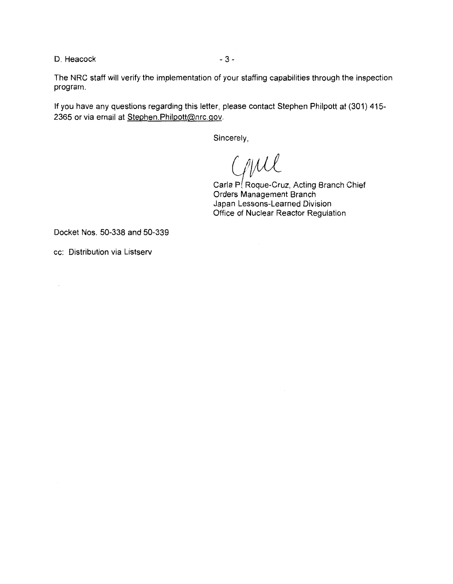D. Heacock and the state of  $\sim$  3 -

The NRC staff will verify the implementation of your staffing capabilities through the inspection program.

If you have any questions regarding this letter, please contact Stephen Philpott at (301) 415- 2365 or via email at Stephen.Philpott@nrc.gov.

Sincerely,

GIML

Carla P. Roque-Cruz, Acting Branch Chief Orders Management Branch Japan Lessons-Learned Division Office of Nuclear Reactor Regulation

Docket Nos. 50-338 and 50-339

cc: Distribution via Listserv

 $\bar{\alpha}$